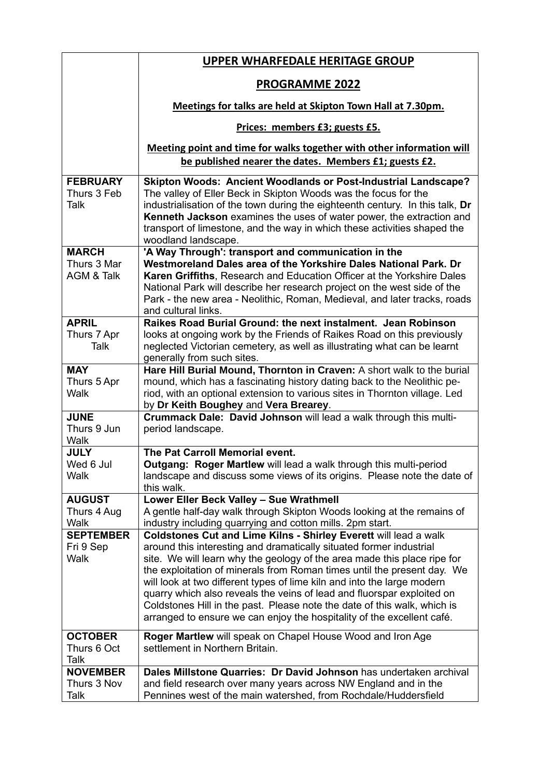|                                           | <b>UPPER WHARFEDALE HERITAGE GROUP</b>                                                                                                                                                                                                                                                                                                                                                                                                                                                                                                                                                                    |
|-------------------------------------------|-----------------------------------------------------------------------------------------------------------------------------------------------------------------------------------------------------------------------------------------------------------------------------------------------------------------------------------------------------------------------------------------------------------------------------------------------------------------------------------------------------------------------------------------------------------------------------------------------------------|
|                                           | <b>PROGRAMME 2022</b>                                                                                                                                                                                                                                                                                                                                                                                                                                                                                                                                                                                     |
|                                           | Meetings for talks are held at Skipton Town Hall at 7.30pm.                                                                                                                                                                                                                                                                                                                                                                                                                                                                                                                                               |
|                                           | Prices: members £3; guests £5.                                                                                                                                                                                                                                                                                                                                                                                                                                                                                                                                                                            |
|                                           | Meeting point and time for walks together with other information will<br>be published nearer the dates. Members £1; guests £2.                                                                                                                                                                                                                                                                                                                                                                                                                                                                            |
| <b>FEBRUARY</b><br>Thurs 3 Feb<br>Talk    | <b>Skipton Woods: Ancient Woodlands or Post-Industrial Landscape?</b><br>The valley of Eller Beck in Skipton Woods was the focus for the<br>industrialisation of the town during the eighteenth century. In this talk, Dr<br>Kenneth Jackson examines the uses of water power, the extraction and<br>transport of limestone, and the way in which these activities shaped the<br>woodland landscape.                                                                                                                                                                                                      |
| <b>MARCH</b><br>Thurs 3 Mar<br>AGM & Talk | 'A Way Through': transport and communication in the<br>Westmoreland Dales area of the Yorkshire Dales National Park, Dr<br>Karen Griffiths, Research and Education Officer at the Yorkshire Dales                                                                                                                                                                                                                                                                                                                                                                                                         |
|                                           | National Park will describe her research project on the west side of the<br>Park - the new area - Neolithic, Roman, Medieval, and later tracks, roads<br>and cultural links.                                                                                                                                                                                                                                                                                                                                                                                                                              |
| <b>APRIL</b><br>Thurs 7 Apr<br>Talk       | Raikes Road Burial Ground: the next instalment. Jean Robinson<br>looks at ongoing work by the Friends of Raikes Road on this previously<br>neglected Victorian cemetery, as well as illustrating what can be learnt<br>generally from such sites.                                                                                                                                                                                                                                                                                                                                                         |
| <b>MAY</b><br>Thurs 5 Apr<br>Walk         | Hare Hill Burial Mound, Thornton in Craven: A short walk to the burial<br>mound, which has a fascinating history dating back to the Neolithic pe-<br>riod, with an optional extension to various sites in Thornton village. Led<br>by Dr Keith Boughey and Vera Brearey.                                                                                                                                                                                                                                                                                                                                  |
| <b>JUNE</b><br>Thurs 9 Jun<br>Walk        | Crummack Dale: David Johnson will lead a walk through this multi-<br>period landscape.                                                                                                                                                                                                                                                                                                                                                                                                                                                                                                                    |
| <b>JULY</b><br>Wed 6 Jul<br>Walk          | The Pat Carroll Memorial event.<br>Outgang: Roger Martlew will lead a walk through this multi-period<br>landscape and discuss some views of its origins. Please note the date of<br>this walk.                                                                                                                                                                                                                                                                                                                                                                                                            |
| <b>AUGUST</b><br>Thurs 4 Aug<br>Walk      | Lower Eller Beck Valley - Sue Wrathmell<br>A gentle half-day walk through Skipton Woods looking at the remains of<br>industry including quarrying and cotton mills. 2pm start.                                                                                                                                                                                                                                                                                                                                                                                                                            |
| <b>SEPTEMBER</b><br>Fri 9 Sep<br>Walk     | Coldstones Cut and Lime Kilns - Shirley Everett will lead a walk<br>around this interesting and dramatically situated former industrial<br>site. We will learn why the geology of the area made this place ripe for<br>the exploitation of minerals from Roman times until the present day. We<br>will look at two different types of lime kiln and into the large modern<br>quarry which also reveals the veins of lead and fluorspar exploited on<br>Coldstones Hill in the past. Please note the date of this walk, which is<br>arranged to ensure we can enjoy the hospitality of the excellent café. |
| <b>OCTOBER</b><br>Thurs 6 Oct<br>Talk     | Roger Martlew will speak on Chapel House Wood and Iron Age<br>settlement in Northern Britain.                                                                                                                                                                                                                                                                                                                                                                                                                                                                                                             |
| <b>NOVEMBER</b><br>Thurs 3 Nov<br>Talk    | Dales Millstone Quarries: Dr David Johnson has undertaken archival<br>and field research over many years across NW England and in the<br>Pennines west of the main watershed, from Rochdale/Huddersfield                                                                                                                                                                                                                                                                                                                                                                                                  |